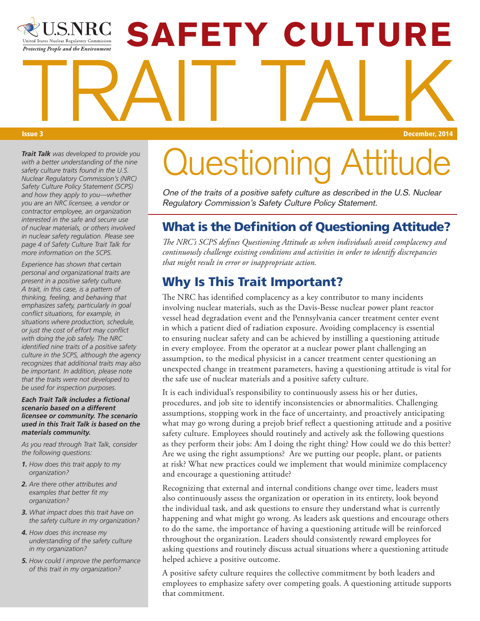# **SAFETY CULTURE** United States Nuclear Regulatory Commission Protecting People and the Environment TRAIT TALK Issue 3 December, 2014

*Trait Talk was developed to provide you with a better understanding of the nine safety culture traits found in the U.S. Nuclear Regulatory Commission's (NRC) Safety Culture Policy Statement (SCPS) and how they apply to you—whether you are an NRC licensee, a vendor or contractor employee, an organization interested in the safe and secure use of nuclear materials, or others involved in nuclear safety regulation. Please see page 4 of Safety Culture Trait Talk for more information on the SCPS.*

*Experience has shown that certain personal and organizational traits are present in a positive safety culture. A trait, in this case, is a pattern of thinking, feeling, and behaving that emphasizes safety, particularly in goal conflict situations, for example, in situations where production, schedule, or just the cost of effort may conflict with doing the job safely. The NRC identified nine traits of a positive safety culture in the SCPS, although the agency recognizes that additional traits may also be important. In addition, please note that the traits were not developed to be used for inspection purposes.*

*Each Trait Talk includes a fictional scenario based on a different licensee or community. The scenario used in this Trait Talk is based on the materials community.* 

*As you read through Trait Talk, consider the following questions:* 

- *1. How does this trait apply to my organization?*
- *2. Are there other attributes and examples that better fit my organization?*
- *3. What impact does this trait have on the safety culture in my organization?*
- *4. How does this increase my understanding of the safety culture in my organization?*
- *5. How could I improve the performance of this trait in my organization?*

# **Luestioning**

One of the traits of a positive safety culture as described in the U.S. Nuclear Regulatory Commission's Safety Culture Policy Statement.

### What is the Definition of Questioning Attitude?

*The NRC's SCPS defines Questioning Attitude as when individuals avoid complacency and continuously challenge existing conditions and activities in order to identify discrepancies that might result in error or inappropriate action.*

### Why Is This Trait Important?

The NRC has identified complacency as a key contributor to many incidents involving nuclear materials, such as the Davis-Besse nuclear power plant reactor vessel head degradation event and the Pennsylvania cancer treatment center event in which a patient died of radiation exposure. Avoiding complacency is essential to ensuring nuclear safety and can be achieved by instilling a questioning attitude in every employee. From the operator at a nuclear power plant challenging an assumption, to the medical physicist in a cancer treatment center questioning an unexpected change in treatment parameters, having a questioning attitude is vital for the safe use of nuclear materials and a positive safety culture.

It is each individual's responsibility to continuously assess his or her duties, procedures, and job site to identify inconsistencies or abnormalities. Challenging assumptions, stopping work in the face of uncertainty, and proactively anticipating what may go wrong during a prejob brief reflect a questioning attitude and a positive safety culture. Employees should routinely and actively ask the following questions as they perform their jobs: Am I doing the right thing? How could we do this better? Are we using the right assumptions? Are we putting our people, plant, or patients at risk? What new practices could we implement that would minimize complacency and encourage a questioning attitude?

Recognizing that external and internal conditions change over time, leaders must also continuously assess the organization or operation in its entirety, look beyond the individual task, and ask questions to ensure they understand what is currently happening and what might go wrong. As leaders ask questions and encourage others to do the same, the importance of having a questioning attitude will be reinforced throughout the organization. Leaders should consistently reward employees for asking questions and routinely discuss actual situations where a questioning attitude helped achieve a positive outcome.

A positive safety culture requires the collective commitment by both leaders and employees to emphasize safety over competing goals. A questioning attitude supports that commitment.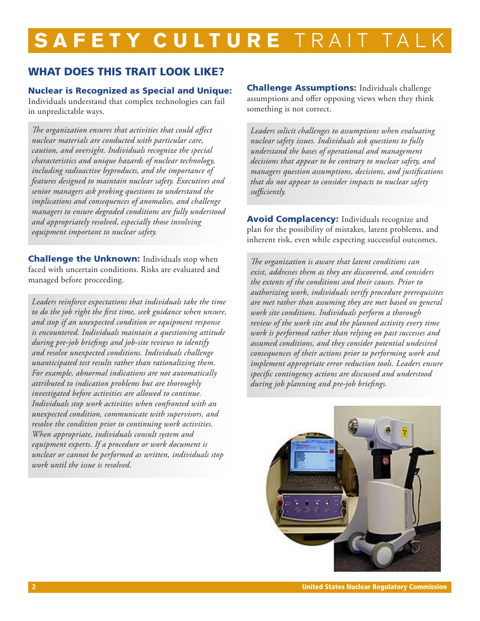## SAFETY CULTURE TRAIT TA

#### WHAT DOES THIS TRAIT LOOK LIKE?

#### Nuclear is Recognized as Special and Unique:

Individuals understand that complex technologies can fail in unpredictable ways.

*The organization ensures that activities that could affect nuclear materials are conducted with particular care, caution, and oversight. Individuals recognize the special characteristics and unique hazards of nuclear technology, including radioactive byproducts, and the importance of features designed to maintain nuclear safety. Executives and senior managers ask probing questions to understand the implications and consequences of anomalies, and challenge managers to ensure degraded conditions are fully understood and appropriately resolved, especially those involving equipment important to nuclear safety.* 

**Challenge the Unknown:** Individuals stop when faced with uncertain conditions. Risks are evaluated and managed before proceeding.

*Leaders reinforce expectations that individuals take the time to do the job right the first time, seek guidance when unsure, and stop if an unexpected condition or equipment response is encountered. Individuals maintain a questioning attitude during pre-job briefings and job-site reviews to identify and resolve unexpected conditions. Individuals challenge unanticipated test results rather than rationalizing them. For example, abnormal indications are not automatically attributed to indication problems but are thoroughly investigated before activities are allowed to continue. Individuals stop work activities when confronted with an unexpected condition, communicate with supervisors, and resolve the condition prior to continuing work activities. When appropriate, individuals consult system and equipment experts. If a procedure or work document is unclear or cannot be performed as written, individuals stop work until the issue is resolved.* 

**Challenge Assumptions: Individuals challenge** assumptions and offer opposing views when they think something is not correct.

*Leaders solicit challenges to assumptions when evaluating nuclear safety issues. Individuals ask questions to fully understand the bases of operational and management decisions that appear to be contrary to nuclear safety, and managers question assumptions, decisions, and justifications that do not appear to consider impacts to nuclear safety sufficiently.* 

Avoid Complacency: Individuals recognize and plan for the possibility of mistakes, latent problems, and inherent risk, even while expecting successful outcomes.

*The organization is aware that latent conditions can exist, addresses them as they are discovered, and considers the extents of the conditions and their causes. Prior to authorizing work, individuals verify procedure prerequisites are met rather than assuming they are met based on general work site conditions. Individuals perform a thorough review of the work site and the planned activity every time work is performed rather than relying on past successes and assumed conditions, and they consider potential undesired consequences of their actions prior to performing work and implement appropriate error reduction tools. Leaders ensure specific contingency actions are discussed and understood during job planning and pre-job briefings.* 

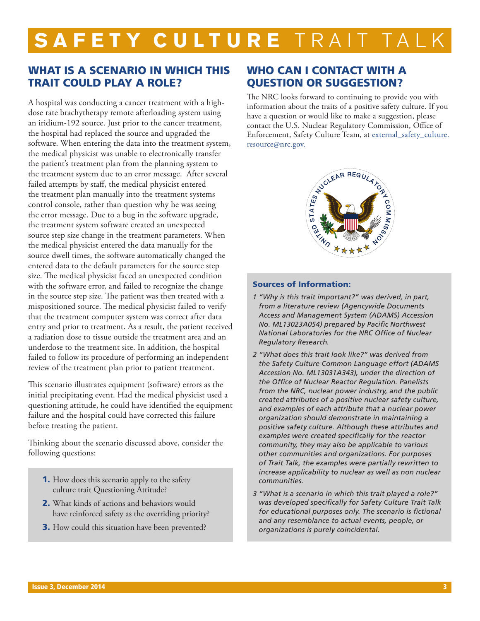### SAFETY CULTURE TRAIT TAL

### WHAT IS A SCENARIO IN WHICH THIS TRAIT COULD PLAY A ROLE?

A hospital was conducting a cancer treatment with a highdose rate brachytherapy remote afterloading system using an iridium-192 source. Just prior to the cancer treatment, the hospital had replaced the source and upgraded the software. When entering the data into the treatment system, the medical physicist was unable to electronically transfer the patient's treatment plan from the planning system to the treatment system due to an error message. After several failed attempts by staff, the medical physicist entered the treatment plan manually into the treatment systems control console, rather than question why he was seeing the error message. Due to a bug in the software upgrade, the treatment system software created an unexpected source step size change in the treatment parameters. When the medical physicist entered the data manually for the source dwell times, the software automatically changed the entered data to the default parameters for the source step size. The medical physicist faced an unexpected condition with the software error, and failed to recognize the change in the source step size. The patient was then treated with a mispositioned source. The medical physicist failed to verify that the treatment computer system was correct after data entry and prior to treatment. As a result, the patient received a radiation dose to tissue outside the treatment area and an underdose to the treatment site. In addition, the hospital failed to follow its procedure of performing an independent review of the treatment plan prior to patient treatment.

This scenario illustrates equipment (software) errors as the initial precipitating event. Had the medical physicist used a questioning attitude, he could have identified the equipment failure and the hospital could have corrected this failure before treating the patient.

Thinking about the scenario discussed above, consider the following questions:

- **1.** How does this scenario apply to the safety culture trait Questioning Attitude?
- 2. What kinds of actions and behaviors would have reinforced safety as the overriding priority?
- **3.** How could this situation have been prevented?

### WHO CAN I CONTACT WITH A QUESTION OR SUGGESTION?

The NRC looks forward to continuing to provide you with information about the traits of a positive safety culture. If you have a question or would like to make a suggestion, please contact the U.S. Nuclear Regulatory Commission, Office of Enforcement, Safety Culture Team, at external\_safety\_culture. resource@nrc.gov.



#### Sources of Information:

- *1 "Why is this trait important?" was derived, in part, from a literature review (Agencywide Documents Access and Management System (ADAMS) Accession No. ML13023A054) prepared by Pacific Northwest National Laboratories for the NRC Office of Nuclear Regulatory Research.*
- *2 "What does this trait look like?" was derived from the Safety Culture Common Language effort (ADAMS Accession No. ML13031A343), under the direction of the Office of Nuclear Reactor Regulation. Panelists from the NRC, nuclear power industry, and the public created attributes of a positive nuclear safety culture, and examples of each attribute that a nuclear power organization should demonstrate in maintaining a positive safety culture. Although these attributes and examples were created specifically for the reactor community, they may also be applicable to various other communities and organizations. For purposes of Trait Talk, the examples were partially rewritten to increase applicability to nuclear as well as non nuclear communities.*
- *3 "What is a scenario in which this trait played a role?" was developed specifically for Safety Culture Trait Talk for educational purposes only. The scenario is fictional and any resemblance to actual events, people, or organizations is purely coincidental.*